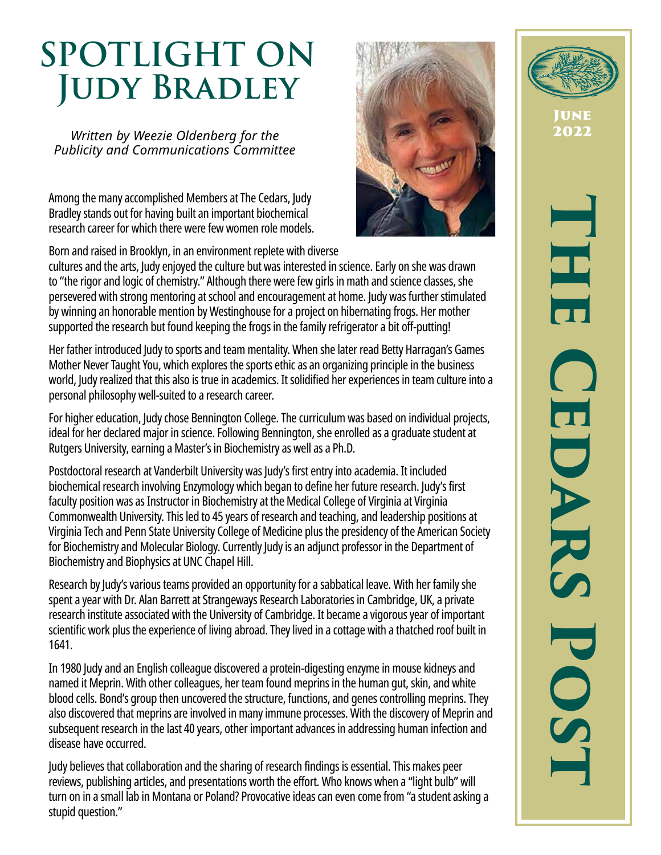# **SPOTLIGHT ON Judy Bradley**

*Written by Weezie Oldenberg for the Publicity and Communications Committee*

Among the many accomplished Members at The Cedars, Judy Bradley stands out for having built an important biochemical research career for which there were few women role models.



cultures and the arts, Judy enjoyed the culture but was interested in science. Early on she was drawn to "the rigor and logic of chemistry." Although there were few girls in math and science classes, she persevered with strong mentoring at school and encouragement at home. Judy was further stimulated by winning an honorable mention by Westinghouse for a project on hibernating frogs. Her mother supported the research but found keeping the frogs in the family refrigerator a bit off-putting!

Her father introduced Judy to sports and team mentality. When she later read Betty Harragan's Games Mother Never Taught You, which explores the sports ethic as an organizing principle in the business world, Judy realized that this also is true in academics. It solidified her experiences in team culture into a personal philosophy well-suited to a research career.

For higher education, Judy chose Bennington College. The curriculum was based on individual projects, ideal for her declared major in science. Following Bennington, she enrolled as a graduate student at Rutgers University, earning a Master's in Biochemistry as well as a Ph.D.

Postdoctoral research at Vanderbilt University was Judy's first entry into academia. It included biochemical research involving Enzymology which began to define her future research. Judy's first faculty position was as Instructor in Biochemistry at the Medical College of Virginia at Virginia Commonwealth University. This led to 45 years of research and teaching, and leadership positions at Virginia Tech and Penn State University College of Medicine plus the presidency of the American Society for Biochemistry and Molecular Biology. Currently Judy is an adjunct professor in the Department of Biochemistry and Biophysics at UNC Chapel Hill.

Research by Judy's various teams provided an opportunity for a sabbatical leave. With her family she spent a year with Dr. Alan Barrett at Strangeways Research Laboratories in Cambridge, UK, a private research institute associated with the University of Cambridge. It became a vigorous year of important scientific work plus the experience of living abroad. They lived in a cottage with a thatched roof built in 1641.

In 1980 Judy and an English colleague discovered a protein-digesting enzyme in mouse kidneys and named it Meprin. With other colleagues, her team found meprins in the human gut, skin, and white blood cells. Bond's group then uncovered the structure, functions, and genes controlling meprins. They also discovered that meprins are involved in many immune processes. With the discovery of Meprin and subsequent research in the last 40 years, other important advances in addressing human infection and disease have occurred.

Judy believes that collaboration and the sharing of research findings is essential. This makes peer reviews, publishing articles, and presentations worth the effort. Who knows when a "light bulb" will turn on in a small lab in Montana or Poland? Provocative ideas can even come from "a student asking a stupid question."



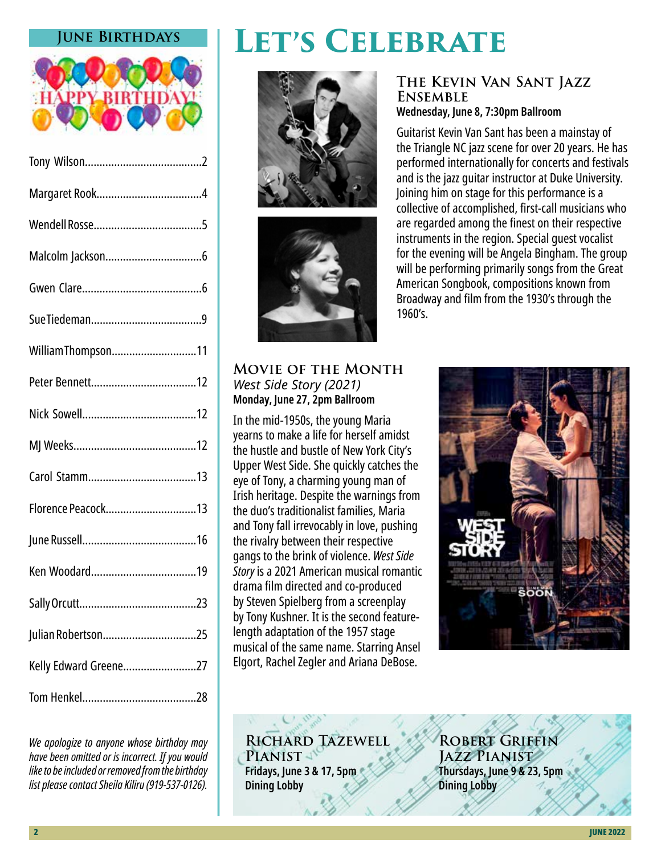#### **June Birthdays**



| William Thompson11    |
|-----------------------|
|                       |
|                       |
|                       |
|                       |
| Florence Peacock13    |
|                       |
|                       |
|                       |
| Julian Robertson25    |
| Kelly Edward Greene27 |
|                       |

*We apologize to anyone whose birthday may have been omitted or is incorrect. If you would like to be included or removed from the birthday list please contact Sheila Kiliru (919-537-0126).*

# **Let's Celebrate**





#### **Movie of the Month** *West Side Story (2021)* **Monday, June 27, 2pm Ballroom**

In the mid-1950s, the young Maria yearns to make a life for herself amidst the hustle and bustle of New York City's Upper West Side. She quickly catches the eye of Tony, a charming young man of Irish heritage. Despite the warnings from the duo's traditionalist families, Maria and Tony fall irrevocably in love, pushing the rivalry between their respective gangs to the brink of violence. *West Side Story* is a 2021 American musical romantic drama film directed and co-produced by Steven Spielberg from a screenplay by Tony Kushner. It is the second featurelength adaptation of the 1957 stage musical of the same name. Starring Ansel Elgort, Rachel Zegler and Ariana DeBose.

#### **The Kevin Van Sant Jazz Ensemble Wednesday, June 8, 7:30pm Ballroom**

Guitarist Kevin Van Sant has been a mainstay of the Triangle NC jazz scene for over 20 years. He has performed internationally for concerts and festivals and is the jazz guitar instructor at Duke University. Joining him on stage for this performance is a collective of accomplished, first-call musicians who are regarded among the finest on their respective instruments in the region. Special guest vocalist for the evening will be Angela Bingham. The group will be performing primarily songs from the Great American Songbook, compositions known from Broadway and film from the 1930's through the 1960's.



**Richard Tazewell** PIANIST<sup></sup> **Fridays, June 3 & 17, 5pm Dining Lobby** 

**Robert Griffin Jazz Pianist Thursdays, June 9 & 23, 5pm Dining Lobby**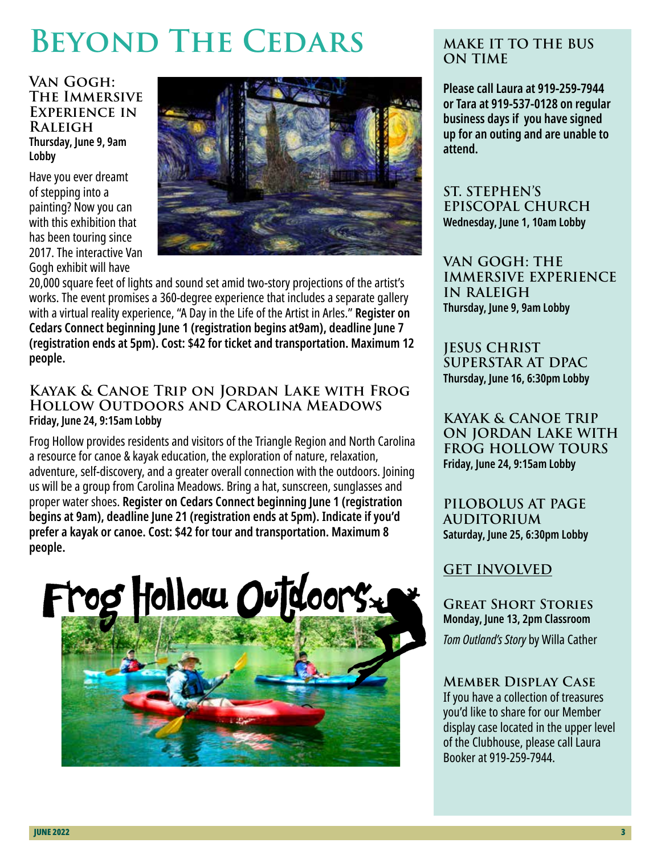# **BEYOND THE CEDARS**

**Van Gogh: The Immersive Experience in Raleigh Thursday, June 9, 9am Lobby**

Have you ever dreamt of stepping into a painting? Now you can with this exhibition that has been touring since 2017. The interactive Van Gogh exhibit will have



20,000 square feet of lights and sound set amid two-story projections of the artist's works. The event promises a 360-degree experience that includes a separate gallery with a virtual reality experience, "A Day in the Life of the Artist in Arles." **Register on Cedars Connect beginning June 1 (registration begins at9am), deadline June 7 (registration ends at 5pm). Cost: \$42 for ticket and transportation. Maximum 12 people.** 

#### **Kayak & Canoe Trip on Jordan Lake with Frog Hollow Outdoors and Carolina Meadows Friday, June 24, 9:15am Lobby**

Frog Hollow provides residents and visitors of the Triangle Region and North Carolina a resource for canoe & kayak education, the exploration of nature, relaxation, adventure, self-discovery, and a greater overall connection with the outdoors. Joining us will be a group from Carolina Meadows. Bring a hat, sunscreen, sunglasses and proper water shoes. **Register on Cedars Connect beginning June 1 (registration begins at 9am), deadline June 21 (registration ends at 5pm). Indicate if you'd prefer a kayak or canoe. Cost: \$42 for tour and transportation. Maximum 8 people.**



#### **MAKE IT TO THE BUS ON TIME**

**Please call Laura at 919-259-7944 or Tara at 919-537-0128 on regular business days if you have signed up for an outing and are unable to attend.** 

**ST. STEPHEN'S EPISCOPAL CHURCH Wednesday, June 1, 10am Lobby**

**VAN GOGH: THE IMMERSIVE EXPERIENCE IN RALEIGH Thursday, June 9, 9am Lobby**

**JESUS CHRIST SUPERSTAR AT DPAC Thursday, June 16, 6:30pm Lobby**

**KAYAK & CANOE TRIP ON JORDAN LAKE WITH FROG HOLLOW TOURS Friday, June 24, 9:15am Lobby**

**PILOBOLUS AT PAGE AUDITORIUM Saturday, June 25, 6:30pm Lobby**

## **GET INVOLVED**

**Great Short Stories Monday, June 13, 2pm Classroom** *Tom Outland's Story* by Willa Cather

**Member Display Case** If you have a collection of treasures you'd like to share for our Member display case located in the upper level of the Clubhouse, please call Laura Booker at 919-259-7944.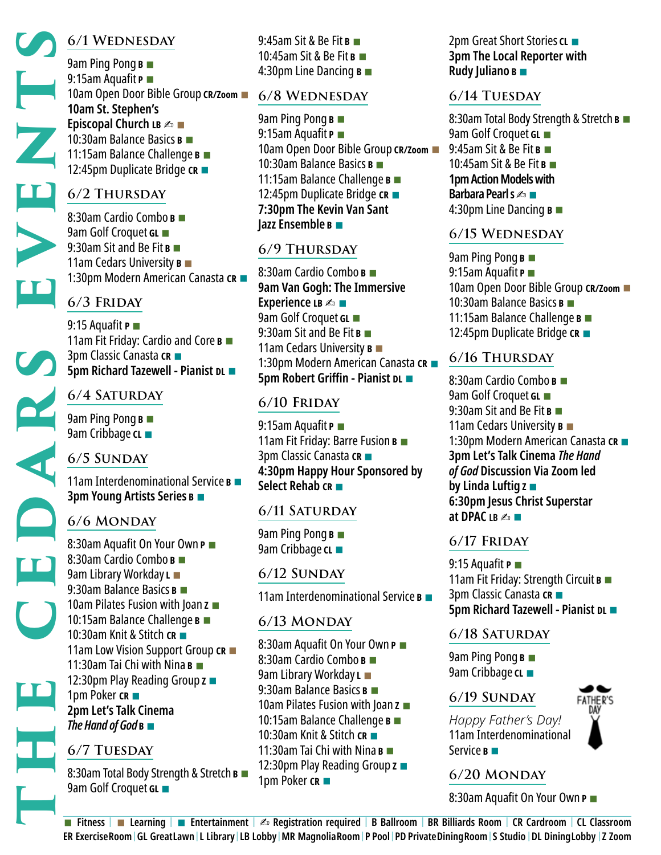## **6/1 Wednesday**

9am Ping Pong **B** ■ 9:15am Aquafit **P** ■ 10am Open Door Bible Group **CR/Zoom** ■ **10am St. Stephen's Episcopal Church LB**  $\triangle$  ■ 10:30am Balance Basics **B** ■ 11:15am Balance Challenge **B** ■ 12:45pm Duplicate Bridge **CR** ■

## **6/2 Thursday**

8:30am Cardio Combo **B** ■ 9am Golf Croquet **GL** ■ 9:30am Sit and Be Fit **B** ■ 11am Cedars University **B** ■ 1:30pm Modern American Canasta **CR** ■

## **6/3 Friday**

9:15 Aquafit **P** ■ 11am Fit Friday: Cardio and Core **B** ■ 3pm Classic Canasta **CR** ■ **5pm Richard Tazewell - Pianist DL ■** 

## **6/4 Saturday**

9am Ping Pong **B** ■ 9am Cribbage **CL** ■

## **6/5 Sunday**

11am Interdenominational Service **B** ■ **3pm Young Artists Series <sup>B</sup>**■

## **6/6 Monday**

8:30am Aquafit On Your Own **P** ■ 8:30am Cardio Combo **B** ■ 9am Library Workday **L** ■ 9:30am Balance Basics **B** ■ 10am Pilates Fusion with Joan **Z** ■ 10:15am Balance Challenge **B** ■ 10:30am Knit & Stitch **CR** ■ 11am Low Vision Support Group **CR** ■ 11:30am Tai Chi with Nina **B** ■ 12:30pm Play Reading Group **Z** ■ 1pm Poker **CR** ■ **2pm Let's Talk Cinema** *The Hand of God* **B** ■

## **6/7 Tuesday**

8:30am Total Body Strength & Stretch **B** ■ 9am Golf Croquet **GL** ■

9:45am Sit & Be Fit **B** ■ 10:45am Sit & Be Fit **B** ■ 4:30pm Line Dancing **B** ■

#### **6/8 Wednesday**

9am Ping Pong **B** ■ 9:15am Aquafit **P** ■ 10am Open Door Bible Group **CR/Zoom** ■ 10:30am Balance Basics **B** ■ 11:15am Balance Challenge **B** ■ 12:45pm Duplicate Bridge **CR** ■ **7:30pm The Kevin Van Sant Jazz Ensemble B** ■

## **6/9 Thursday**

8:30am Cardio Combo **B** ■ **9am Van Gogh: The Immersive Experience LB**  $\triangle$  ■ 9am Golf Croquet **GL** ■ 9:30am Sit and Be Fit **B** ■ 11am Cedars University **B** ■ 1:30pm Modern American Canasta **CR** ■ **5pm Robert Griffin - Pianist DL** ■

## **6/10 Friday**

9:15am Aquafit **P** ■ 11am Fit Friday: Barre Fusion **B** ■ 3pm Classic Canasta **CR** ■ **4:30pm Happy Hour Sponsored by Select Rehab CR** ■

## **6/11 Saturday**

9am Ping Pong **B** ■ 9am Cribbage **CL** ■

## **6/12 Sunday**

11am Interdenominational Service **B** ■

#### **6/13 Monday**

8:30am Aquafit On Your Own **P** ■ 8:30am Cardio Combo **B** ■ 9am Library Workday **L** ■ 9:30am Balance Basics **B** ■ 10am Pilates Fusion with Joan **Z** ■ 10:15am Balance Challenge **B** ■ 10:30am Knit & Stitch **CR** ■ 11:30am Tai Chi with Nina **B** ■ 12:30pm Play Reading Group **Z** ■ 1pm Poker **CR** ■

2pm Great Short Stories **CL** ■ **3pm The Local Reporter with Rudy Juliano B** ■

## **6/14 Tuesday**

8:30am Total Body Strength & Stretch **B** ■ 9am Golf Croquet **GL** ■ 9:45am Sit & Be Fit **B** ■ 10:45am Sit & Be Fit **B** ■ **1pm Action Models with Barbara Pearl s** ∠ ■ 4:30pm Line Dancing **B** ■

## **6/15 Wednesday**

9am Ping Pong **B** ■ 9:15am Aquafit **P** ■ 10am Open Door Bible Group **CR/Zoom** ■ 10:30am Balance Basics **B** ■ 11:15am Balance Challenge **B** ■ 12:45pm Duplicate Bridge **CR** ■

## **6/16 Thursday**

8:30am Cardio Combo **B** ■ 9am Golf Croquet **GL** ■ 9:30am Sit and Be Fit **B** ■ 11am Cedars University **B** ■ 1:30pm Modern American Canasta **CR** ■ **3pm Let's Talk Cinema** *The Hand of God* **Discussion Via Zoom led by Linda Luftig <sup>Z</sup>**■ **6:30pm Jesus Christ Superstar at DPAC LB** 4

## **6/17 Friday**

9:15 Aquafit **P** ■ 11am Fit Friday: Strength Circuit **B** ■ 3pm Classic Canasta **CR** ■ **5pm Richard Tazewell - Pianist DL** ■

## **6/18 Saturday**

9am Ping Pong **B** ■ 9am Cribbage **CL** ■

## **6/19 Sunday**

*Happy Father's Day!* 11am Interdenominational Service **B** ■

## **6/20 Monday**

8:30am Aquafit On Your Own **P** ■

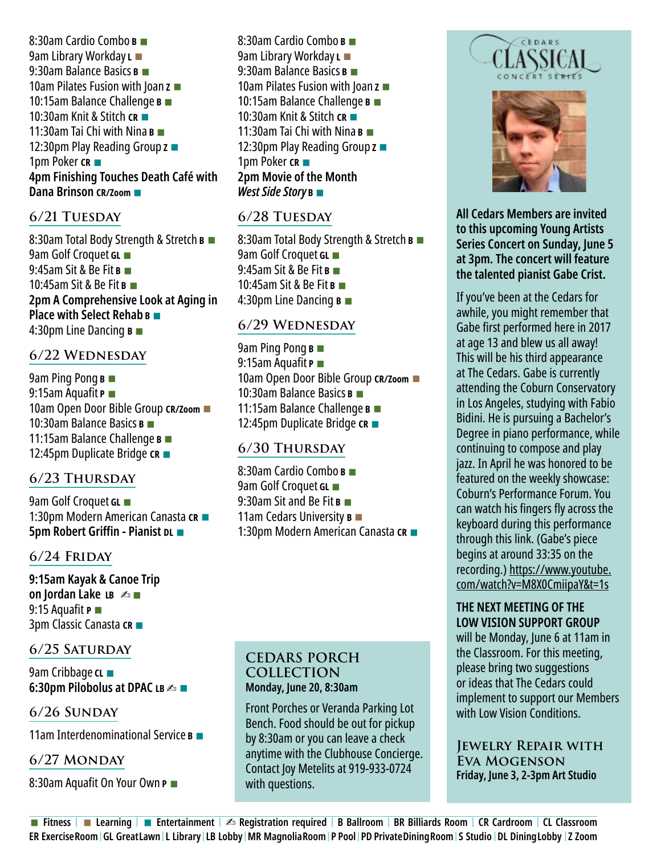8:30am Cardio Combo **B** ■ 9am Library Workday **L** ■ 9:30am Balance Basics **B** ■ 10am Pilates Fusion with Joan **Z** ■ 10:15am Balance Challenge **B** ■ 10:30am Knit & Stitch **CR** ■ 11:30am Tai Chi with Nina **B** ■ 12:30pm Play Reading Group **Z** ■ 1pm Poker **CR** ■ **4pm Finishing Touches Death Café with Dana Brinson CR/Zoom** ■

#### **6/21 Tuesday**

8:30am Total Body Strength & Stretch **B** ■ 9am Golf Croquet **GL** ■ 9:45am Sit & Be Fit **B** ■ 10:45am Sit & Be Fit **B** ■ **2pm A Comprehensive Look at Aging in Place with Select Rehab B** ■ 4:30pm Line Dancing **B** ■

#### **6/22 Wednesday**

9am Ping Pong **B** ■ 9:15am Aquafit **P** ■ 10am Open Door Bible Group **CR/Zoom** ■ 10:30am Balance Basics **B** ■ 11:15am Balance Challenge **B** ■ 12:45pm Duplicate Bridge **CR** ■

#### **6/23 Thursday**

9am Golf Croquet **GL** ■ 1:30pm Modern American Canasta **CR** ■ **5pm Robert Griffin - Pianist DL** ■

#### **6/24 Friday**

**9:15am Kayak & Canoe Trip on Jordan Lake <b>LB** ▲■ 9:15 Aquafit **P** ■ 3pm Classic Canasta **CR** ■

#### **6/25 Saturday**

9am Cribbage **CL** ■ **6:30pm Pilobolus at DPAC LB △■** 

#### **6/26 Sunday**

11am Interdenominational Service **B** ■

#### **6/27 Monday**

8:30am Aquafit On Your Own **P** ■

8:30am Cardio Combo **B** ■ 9am Library Workday **L** ■ 9:30am Balance Basics **B** ■ 10am Pilates Fusion with Joan **Z** ■ 10:15am Balance Challenge **B** ■ 10:30am Knit & Stitch **CR** ■ 11:30am Tai Chi with Nina **B** ■ 12:30pm Play Reading Group **Z** ■ 1pm Poker **CR** ■ **2pm Movie of the Month**  *West Side Story* **<sup>B</sup>**■

#### **6/28 Tuesday**

8:30am Total Body Strength & Stretch **B** ■ 9am Golf Croquet **GL** ■ 9:45am Sit & Be Fit **B** ■ 10:45am Sit & Be Fit **B** ■ 4:30pm Line Dancing **B** ■

#### **6/29 Wednesday**

9am Ping Pong **B** ■ 9:15am Aquafit **P** ■ 10am Open Door Bible Group **CR/Zoom** ■ 10:30am Balance Basics **B** ■ 11:15am Balance Challenge **B** ■ 12:45pm Duplicate Bridge **CR** ■

#### **6/30 Thursday**

8:30am Cardio Combo **B** ■ 9am Golf Croquet **GL** ■ 9:30am Sit and Be Fit **B** ■ 11am Cedars University **B** ■ 1:30pm Modern American Canasta **CR** ■

#### **CEDARS PORCH COLLECTION Monday, June 20, 8:30am**

Front Porches or Veranda Parking Lot Bench. Food should be out for pickup by 8:30am or you can leave a check anytime with the Clubhouse Concierge. Contact Joy Metelits at 919-933-0724 with questions.





**All Cedars Members are invited to this upcoming Young Artists Series Concert on Sunday, June 5 at 3pm. The concert will feature the talented pianist Gabe Crist.** 

If you've been at the Cedars for awhile, you might remember that Gabe first performed here in 2017 at age 13 and blew us all away! This will be his third appearance at The Cedars. Gabe is currently attending the Coburn Conservatory in Los Angeles, studying with Fabio Bidini. He is pursuing a Bachelor's Degree in piano performance, while continuing to compose and play jazz. In April he was honored to be featured on the weekly showcase: Coburn's Performance Forum. You can watch his fingers fly across the keyboard during this performance through this link. (Gabe's piece begins at around 33:35 on the recording.) https://www.youtube. com/watch?v=M8X0CmiipaY&t=1s

#### **THE NEXT MEETING OF THE LOW VISION SUPPORT GROUP**

will be Monday, June 6 at 11am in the Classroom. For this meeting, please bring two suggestions or ideas that The Cedars could implement to support our Members with Low Vision Conditions.

#### **Jewelry Repair with Eva Mogenson Friday, June 3, 2-3pm Art Studio**

■ **Fitness |** ■ **Learning |** ■ **Entertainment |** ✍ **Registration required | B Ballroom | BR Billiards Room | CR Cardroom | CL Classroom ER Exercise Room | GL Great Lawn | L Library | LB Lobby | MR Magnolia Room | P Pool | PD Private Dining Room | S Studio | DL Dining Lobby | Z Zoom**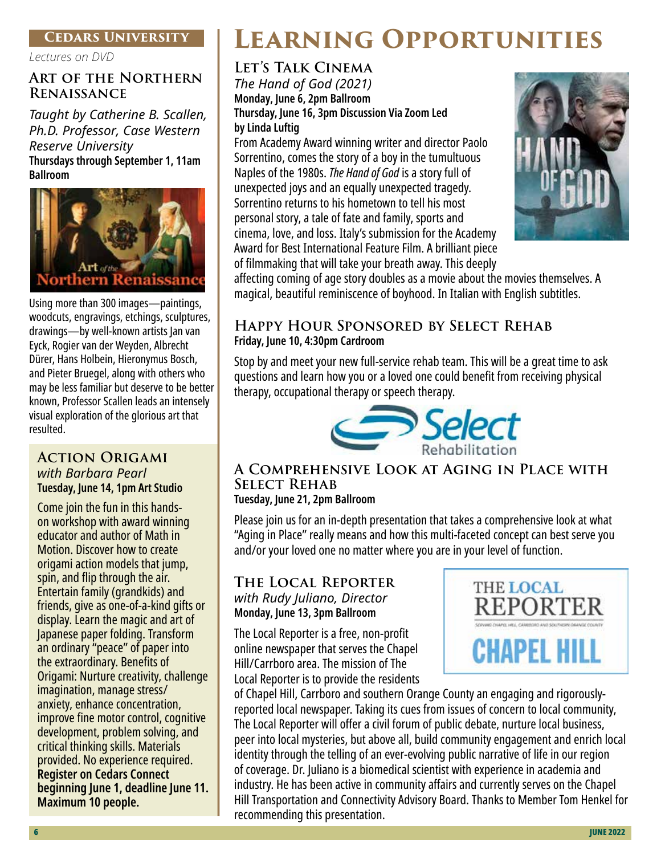#### **Cedars University**

*Lectures on DVD*

#### **Art of the Northern Renaissance**

*Taught by Catherine B. Scallen, Ph.D. Professor, Case Western Reserve University*  **Thursdays through September 1, 11am Ballroom**



Using more than 300 images—paintings, woodcuts, engravings, etchings, sculptures, drawings—by well-known artists Jan van Eyck, Rogier van der Weyden, Albrecht Dürer, Hans Holbein, Hieronymus Bosch, and Pieter Bruegel, along with others who may be less familiar but deserve to be better known, Professor Scallen leads an intensely visual exploration of the glorious art that resulted.

#### **Action Origami** *with Barbara Pearl* **Tuesday, June 14, 1pm Art Studio**

Come join the fun in this handson workshop with award winning educator and author of Math in Motion. Discover how to create origami action models that jump, spin, and flip through the air. Entertain family (grandkids) and friends, give as one-of-a-kind gifts or display. Learn the magic and art of Japanese paper folding. Transform an ordinary "peace" of paper into the extraordinary. Benefits of Origami: Nurture creativity, challenge imagination, manage stress/ anxiety, enhance concentration, improve fine motor control, cognitive development, problem solving, and critical thinking skills. Materials provided. No experience required. **Register on Cedars Connect beginning June 1, deadline June 11. Maximum 10 people.** 

## **Learning Opportunities**

## **Let's Talk Cinema**

*The Hand of God (2021)* **Monday, June 6, 2pm Ballroom Thursday, June 16, 3pm Discussion Via Zoom Led by Linda Luftig**

From Academy Award winning writer and director Paolo Sorrentino, comes the story of a boy in the tumultuous Naples of the 1980s. *The Hand of God* is a story full of unexpected joys and an equally unexpected tragedy. Sorrentino returns to his hometown to tell his most personal story, a tale of fate and family, sports and cinema, love, and loss. Italy's submission for the Academy Award for Best International Feature Film. A brilliant piece of filmmaking that will take your breath away. This deeply



affecting coming of age story doubles as a movie about the movies themselves. A magical, beautiful reminiscence of boyhood. In Italian with English subtitles.

#### **Happy Hour Sponsored by Select Rehab Friday, June 10, 4:30pm Cardroom**

Stop by and meet your new full-service rehab team. This will be a great time to ask questions and learn how you or a loved one could benefit from receiving physical therapy, occupational therapy or speech therapy.



#### **A Comprehensive Look at Aging in Place with Select Rehab Tuesday, June 21, 2pm Ballroom**

Please join us for an in-depth presentation that takes a comprehensive look at what "Aging in Place" really means and how this multi-faceted concept can best serve you and/or your loved one no matter where you are in your level of function.

#### **The Local Reporter** *with Rudy Juliano, Director* **Monday, June 13, 3pm Ballroom**

The Local Reporter is a free, non-profit online newspaper that serves the Chapel Hill/Carrboro area. The mission of The Local Reporter is to provide the residents



of Chapel Hill, Carrboro and southern Orange County an engaging and rigorouslyreported local newspaper. Taking its cues from issues of concern to local community, The Local Reporter will offer a civil forum of public debate, nurture local business, peer into local mysteries, but above all, build community engagement and enrich local identity through the telling of an ever-evolving public narrative of life in our region of coverage. Dr. Juliano is a biomedical scientist with experience in academia and industry. He has been active in community affairs and currently serves on the Chapel Hill Transportation and Connectivity Advisory Board. Thanks to Member Tom Henkel for recommending this presentation.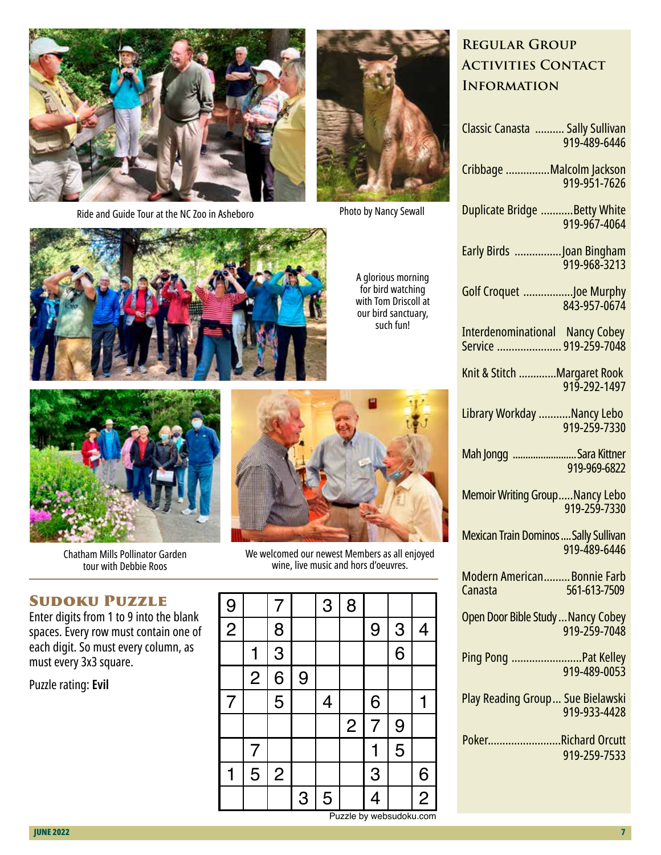

Ride and Guide Tour at the NC Zoo in Asheboro





Photo by Nancy Sewall



A glorious morning for bird watching with Tom Driscoll at our bird sanctuary, such fun!



Chatham Mills Pollinator Garden tour with Debbie Roos

## Sudoku Puzzle

Enter digits from 1 to 9 into the blank spaces. Every row must contain one of each digit. So must every column, as must every 3x3 square.

#### Puzzle rating: **Evil**



We welcomed our newest Members as all enjoyed wine, live music and hors d'oeuvres.

| 9              |                | 7              |   | 3 | 8              |   |   |                |
|----------------|----------------|----------------|---|---|----------------|---|---|----------------|
| $\overline{2}$ |                | 8              |   |   |                | 9 | 3 | 4              |
|                | 1              | 3              |   |   |                |   | 6 |                |
|                | $\overline{2}$ | 6              | 9 |   |                |   |   |                |
| $\overline{7}$ |                | 5              |   | 4 |                | 6 |   | 1              |
|                |                |                |   |   | $\overline{2}$ | 7 | 9 |                |
|                | 7              |                |   |   |                | 1 | 5 |                |
| 1              | 5              | $\overline{2}$ |   |   |                | 3 |   | 6              |
|                |                |                | 3 | 5 |                | 4 |   | $\overline{c}$ |

## **Regular Group Activities Contact Information**

| Classic Canasta  Sally Sullivan<br>919-489-6446                 |
|-----------------------------------------------------------------|
| Cribbage Malcolm Jackson<br>919-951-7626                        |
| Duplicate Bridge Betty White<br>919-967-4064                    |
| Early Birds Joan Bingham<br>919-968-3213                        |
| Golf Croquet Joe Murphy<br>843-957-0674                         |
| <b>Interdenominational Nancy Cobey</b><br>Service  919-259-7048 |
| Knit & Stitch Margaret Rook<br>919-292-1497                     |
| Library Workday Nancy Lebo<br>919-259-7330                      |
| Mah Jongg <mark></mark> Sara Kittner<br>919-969-6822            |
| <b>Memoir Writing GroupNancy Lebo</b><br>919-259-7330           |
| <b>Mexican Train Dominos  Sally Sullivan</b><br>919-489-6446    |
| Modern American Bonnie Farb<br>561-613-7509<br>Canasta          |
| Open Door Bible Study  Nancy Cobey<br>919-259-7048              |
| Ping Pong Pat Kelley<br>919-489-0053                            |
| <b>Play Reading Group Sue Bielawski</b><br>919-933-4428         |
| PokerRichard Orcutt<br>919-259-7533                             |
|                                                                 |

Puzzle by websudoku.com